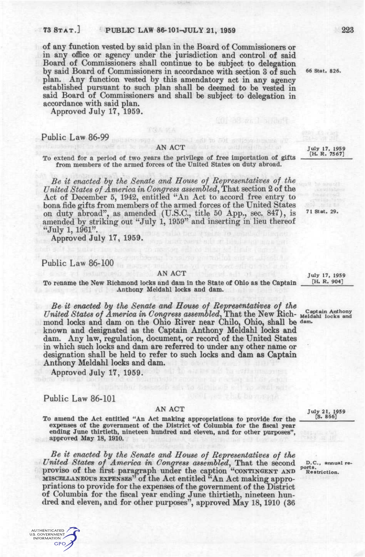### 73 STAT.] PUBLIC LAW 86-101-JULY 21, 1959 223

of any function vested by said plan in the Board of Commissioners or in any office or agency under the jurisdiction and control of said Board of Commissioners shall continue to be subject to delegation by said Board of Commissioners in accordance with section 3 of such <sup>66 Stat. 826.</sup> plan. Any function vested by this amendatory act in any agency established pursuant to such plan shall be deemed to be vested in said Board of Commissioners and shall be subject to delegation in accordance with said plan.

Approved July 17, 1959.

### Public Law 86-99

To extend for a period of two years the privilege of free importation of gifts 1—*. '* from members of the armed forces of the United States on duty abroad.

*Be it enacted hy the Senate and House of Representatives of the United States of America in Congress assembled,* That section 2 of the Act of December 5, 1942, entitled "An Act to accord free entry to bona fide gifts from members of the armed forces of the United States on duty abroad", as amended (U.S.C., title 50 App., sec. 847), is 71 Stat. 29. amended by striking out "July 1, 1959" and inserting in lieu thereof "July 1, 1961".

Approved July 17, 1959.

## Public Law 86-100

AN ACT<br>and dam in the State of Objo as the Cantain [H. R. 904] To rename the New Richmond locks and dam in the State of Ohio as the Captain Anthony Meldahl locks and dam.

*Be it enacted hy the Senate and House of Representatives of the United States of America in Congress assembled*, That the New Rich- Neddahl locks and mond locks and dam on the Ohio River near Chilo, Ohio, shall be dam. known and designated as the Captain Anthony Meldahl locks and dam. Any law, regulation, document, or record of the United States in which such locks and dam are referred to under any other name or designation shall be held to refer to such locks and dam as Captain Anthony Meldahl locks and dam.

Approved July 17, 1959.

## Public Law 86-101

AUTHENTIC ATED o i hen huatel<br>5. Governmen<br>INFORMATION **GPO** 

AN ACT<br>the parties of the control of the state of the state of the state of the state of the state of the state of the state of the state of the state of the state of the state of the state of the state of the state of the To amend the Act entitled "An Act making appropriations to provide for the *^^' ^^^^*  expenses of the government of the District of Columbia for the fiscal year ending June thirtieth, nineteen hundred and eleven, and for other purposes", approved May 18, 1910.

*Be it enacted by the Senate and House of Representatives of the United States of America in Congress assembled,* That the second *o.c,* aimuai reproviso of the first paragraph under the caption "CONTINGENT AND Restriction. MISCELLANEOUS EXPENSES" of the Act entitled "An Act making appropriations to provide for the expenses of the government of the District of Columbia for the fiscal year ending June thirtieth, nineteen hundred and eleven, and for other purposes", approved May 18,1910 (36

AN ACT July 17, 1959